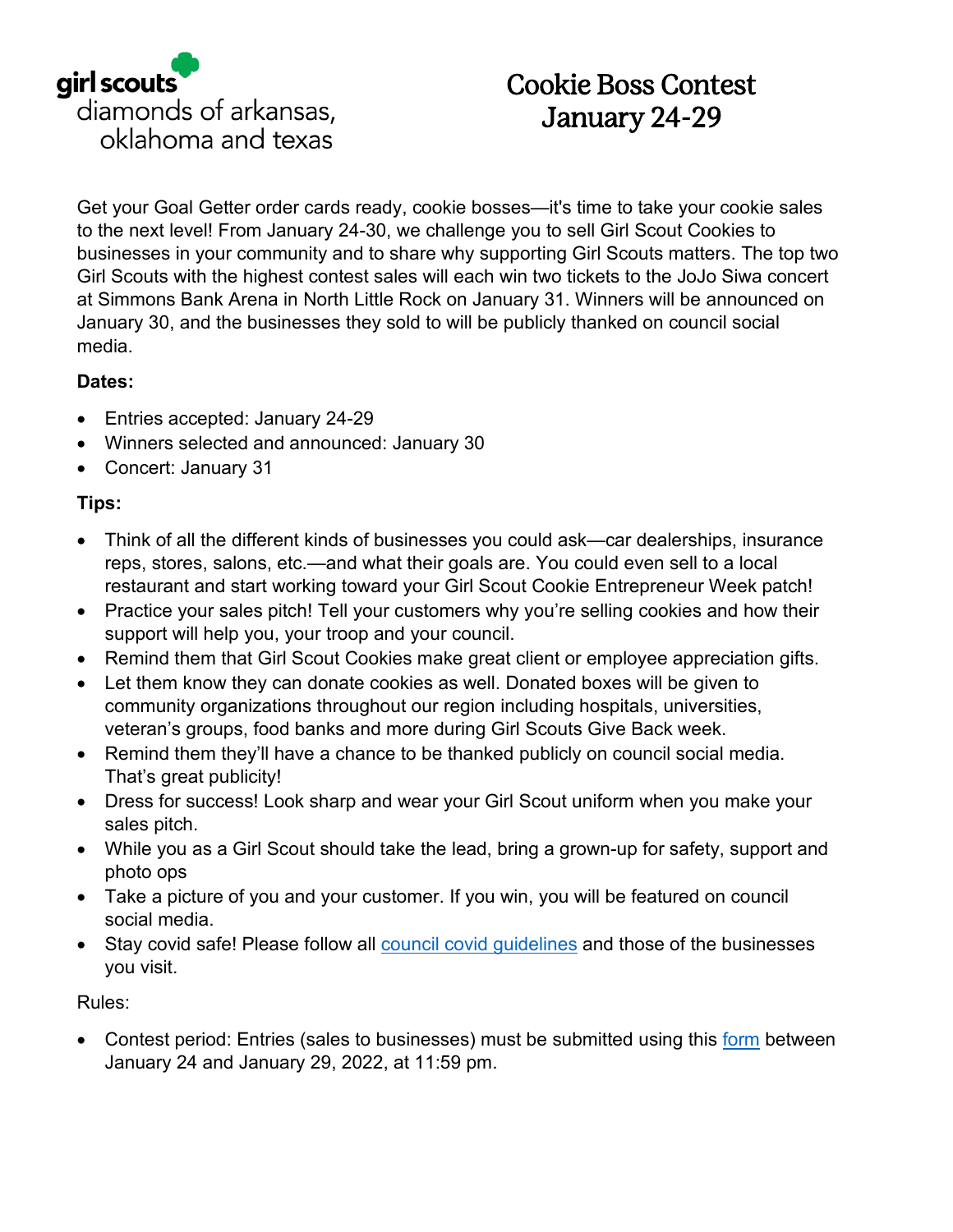

## Cookie Boss Contest January 24-29

Get your Goal Getter order cards ready, cookie bosses—it's time to take your cookie sales to the next level! From January 24-30, we challenge you to sell Girl Scout Cookies to businesses in your community and to share why supporting Girl Scouts matters. The top two Girl Scouts with the highest contest sales will each win two tickets to the JoJo Siwa concert at Simmons Bank Arena in North Little Rock on January 31. Winners will be announced on January 30, and the businesses they sold to will be publicly thanked on council social media.

## **Dates:**

- Entries accepted: January 24-29
- Winners selected and announced: January 30
- Concert: January 31

## **Tips:**

- Think of all the different kinds of businesses you could ask—car dealerships, insurance reps, stores, salons, etc.—and what their goals are. You could even sell to a local restaurant and start working toward your Girl Scout Cookie Entrepreneur Week patch!
- Practice your sales pitch! Tell your customers why you're selling cookies and how their support will help you, your troop and your council.
- Remind them that Girl Scout Cookies make great client or employee appreciation gifts.
- Let them know they can donate cookies as well. Donated boxes will be given to community organizations throughout our region including hospitals, universities, veteran's groups, food banks and more during Girl Scouts Give Back week.
- Remind them they'll have a chance to be thanked publicly on council social media. That's great publicity!
- Dress for success! Look sharp and wear your Girl Scout uniform when you make your sales pitch.
- While you as a Girl Scout should take the lead, bring a grown-up for safety, support and photo ops
- Take a picture of you and your customer. If you win, you will be featured on council social media.
- Stay covid safe! Please follow all [council covid guidelines](https://www.girlscoutsdiamonds.org/en/our-council/news/2021/covid_19_updates_and.html) and those of the businesses you visit.

Rules:

• Contest period: Entries (sales to businesses) must be submitted using this [form](https://girlscoutsusa.ca1.qualtrics.com/jfe/form/SV_8e08xAtOf3B1VDo) between January 24 and January 29, 2022, at 11:59 pm.